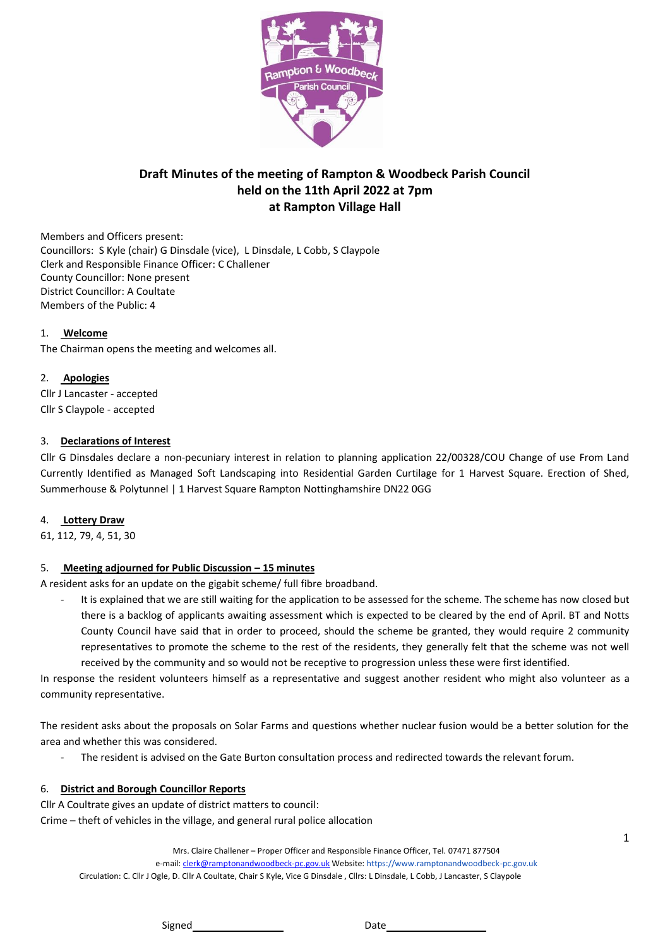

# **Draft Minutes of the meeting of Rampton & Woodbeck Parish Council held on the 11th April 2022 at 7pm at Rampton Village Hall**

Members and Officers present: Councillors: S Kyle (chair) G Dinsdale (vice), L Dinsdale, L Cobb, S Claypole Clerk and Responsible Finance Officer: C Challener County Councillor: None present District Councillor: A Coultate Members of the Public: 4

#### 1. **Welcome**

The Chairman opens the meeting and welcomes all.

#### 2. **Apologies**

Cllr J Lancaster - accepted Cllr S Claypole - accepted

#### 3. **Declarations of Interest**

Cllr G Dinsdales declare a non-pecuniary interest in relation to planning application 22/00328/COU Change of use From Land Currently Identified as Managed Soft Landscaping into Residential Garden Curtilage for 1 Harvest Square. Erection of Shed, Summerhouse & Polytunnel | 1 Harvest Square Rampton Nottinghamshire DN22 0GG

#### 4. **Lottery Draw**

61, 112, 79, 4, 51, 30

### 5. **Meeting adjourned for Public Discussion – 15 minutes**

A resident asks for an update on the gigabit scheme/ full fibre broadband.

It is explained that we are still waiting for the application to be assessed for the scheme. The scheme has now closed but there is a backlog of applicants awaiting assessment which is expected to be cleared by the end of April. BT and Notts County Council have said that in order to proceed, should the scheme be granted, they would require 2 community representatives to promote the scheme to the rest of the residents, they generally felt that the scheme was not well received by the community and so would not be receptive to progression unless these were first identified.

In response the resident volunteers himself as a representative and suggest another resident who might also volunteer as a community representative.

The resident asks about the proposals on Solar Farms and questions whether nuclear fusion would be a better solution for the area and whether this was considered.

The resident is advised on the Gate Burton consultation process and redirected towards the relevant forum.

### 6. **District and Borough Councillor Reports**

Cllr A Coultrate gives an update of district matters to council: Crime – theft of vehicles in the village, and general rural police allocation

Mrs. Claire Challener – Proper Officer and Responsible Finance Officer, Tel. 07471 877504

e-mail[: clerk@ramptonandwoodbeck-pc.gov.uk](mailto:clerk@ramptonandwoodbeck-pc.gov.uk) Website: https://www.ramptonandwoodbeck-pc.gov.uk Circulation: C. Cllr J Ogle, D. Cllr A Coultate, Chair S Kyle, Vice G Dinsdale , Cllrs: L Dinsdale, L Cobb, J Lancaster, S Claypole

1

Signed Date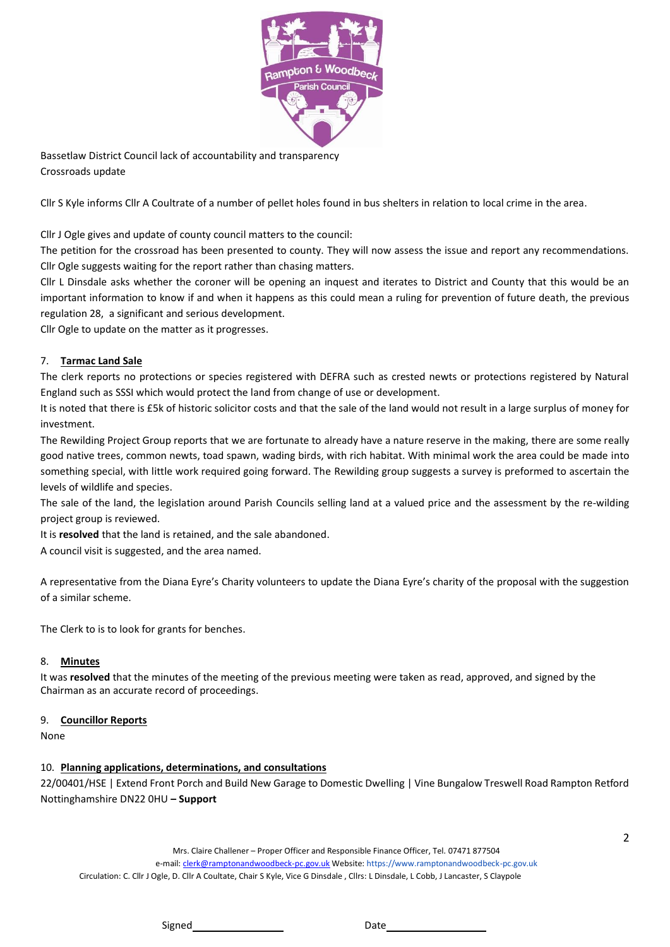

Bassetlaw District Council lack of accountability and transparency Crossroads update

Cllr S Kyle informs Cllr A Coultrate of a number of pellet holes found in bus shelters in relation to local crime in the area.

Cllr J Ogle gives and update of county council matters to the council:

The petition for the crossroad has been presented to county. They will now assess the issue and report any recommendations. Cllr Ogle suggests waiting for the report rather than chasing matters.

Cllr L Dinsdale asks whether the coroner will be opening an inquest and iterates to District and County that this would be an important information to know if and when it happens as this could mean a ruling for prevention of future death, the previous regulation 28, a significant and serious development.

Cllr Ogle to update on the matter as it progresses.

### 7. **Tarmac Land Sale**

The clerk reports no protections or species registered with DEFRA such as crested newts or protections registered by Natural England such as SSSI which would protect the land from change of use or development.

It is noted that there is £5k of historic solicitor costs and that the sale of the land would not result in a large surplus of money for investment.

The Rewilding Project Group reports that we are fortunate to already have a nature reserve in the making, there are some really good native trees, common newts, toad spawn, wading birds, with rich habitat. With minimal work the area could be made into something special, with little work required going forward. The Rewilding group suggests a survey is preformed to ascertain the levels of wildlife and species.

The sale of the land, the legislation around Parish Councils selling land at a valued price and the assessment by the re-wilding project group is reviewed.

It is **resolved** that the land is retained, and the sale abandoned.

A council visit is suggested, and the area named.

A representative from the Diana Eyre's Charity volunteers to update the Diana Eyre's charity of the proposal with the suggestion of a similar scheme.

The Clerk to is to look for grants for benches.

#### 8. **Minutes**

It was **resolved** that the minutes of the meeting of the previous meeting were taken as read, approved, and signed by the Chairman as an accurate record of proceedings.

#### 9. **Councillor Reports**

None

# 10. **Planning applications, determinations, and consultations**

22/00401/HSE | Extend Front Porch and Build New Garage to Domestic Dwelling | Vine Bungalow Treswell Road Rampton Retford Nottinghamshire DN22 0HU **– Support**

> Mrs. Claire Challener – Proper Officer and Responsible Finance Officer, Tel. 07471 877504 e-mail[: clerk@ramptonandwoodbeck-pc.gov.uk](mailto:clerk@ramptonandwoodbeck-pc.gov.uk) Website: https://www.ramptonandwoodbeck-pc.gov.uk

Circulation: C. Cllr J Ogle, D. Cllr A Coultate, Chair S Kyle, Vice G Dinsdale , Cllrs: L Dinsdale, L Cobb, J Lancaster, S Claypole

2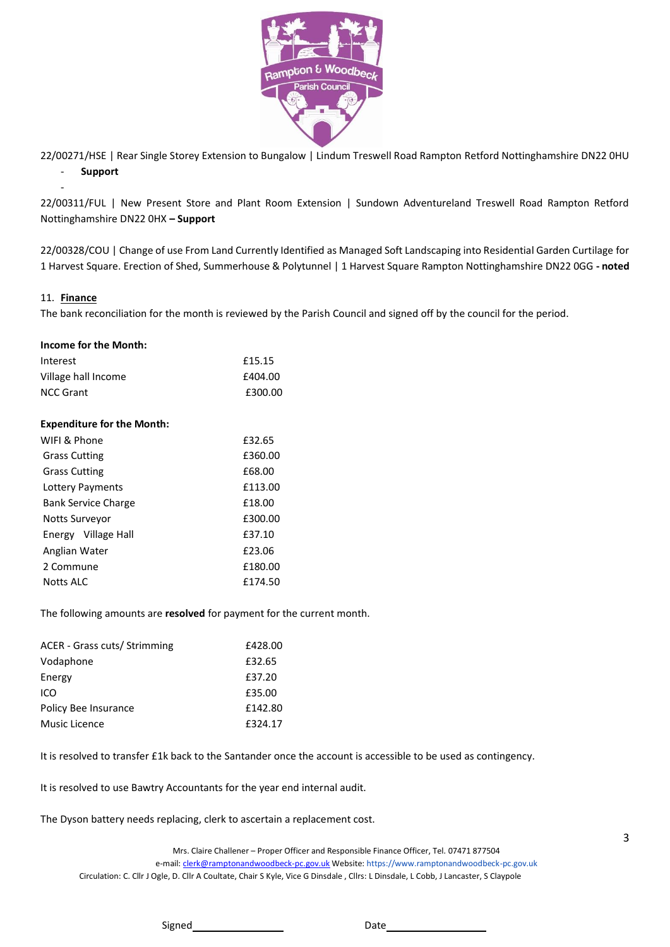

22/00271/HSE | Rear Single Storey Extension to Bungalow | Lindum Treswell Road Rampton Retford Nottinghamshire DN22 0HU - **Support**

22/00311/FUL | New Present Store and Plant Room Extension | Sundown Adventureland Treswell Road Rampton Retford Nottinghamshire DN22 0HX **– Support**

22/00328/COU | Change of use From Land Currently Identified as Managed Soft Landscaping into Residential Garden Curtilage for 1 Harvest Square. Erection of Shed, Summerhouse & Polytunnel | 1 Harvest Square Rampton Nottinghamshire DN22 0GG **- noted**

#### 11. **Finance**

-

The bank reconciliation for the month is reviewed by the Parish Council and signed off by the council for the period.

| <b>Income for the Month:</b>      |         |
|-----------------------------------|---------|
| Interest                          | £15.15  |
| Village hall Income               | £404.00 |
| <b>NCC Grant</b>                  | £300.00 |
| <b>Expenditure for the Month:</b> |         |
| WIFI & Phone                      | £32.65  |
| <b>Grass Cutting</b>              | £360.00 |
| <b>Grass Cutting</b>              | £68.00  |
| Lottery Payments                  | £113.00 |
| <b>Bank Service Charge</b>        | £18.00  |
| Notts Surveyor                    | £300.00 |
| Energy Village Hall               | £37.10  |
| Anglian Water                     | £23.06  |
| 2 Commune                         | £180.00 |
| Notts ALC                         | £174.50 |

The following amounts are **resolved** for payment for the current month.

| ACER - Grass cuts/ Strimming | £428.00 |
|------------------------------|---------|
| Vodaphone                    | £32.65  |
| Energy                       | £37.20  |
| ICO                          | £35.00  |
| Policy Bee Insurance         | £142.80 |
| Music Licence                | £324.17 |

It is resolved to transfer £1k back to the Santander once the account is accessible to be used as contingency.

It is resolved to use Bawtry Accountants for the year end internal audit.

The Dyson battery needs replacing, clerk to ascertain a replacement cost.

Mrs. Claire Challener – Proper Officer and Responsible Finance Officer, Tel. 07471 877504 e-mail[: clerk@ramptonandwoodbeck-pc.gov.uk](mailto:clerk@ramptonandwoodbeck-pc.gov.uk) Website: https://www.ramptonandwoodbeck-pc.gov.uk Circulation: C. Cllr J Ogle, D. Cllr A Coultate, Chair S Kyle, Vice G Dinsdale , Cllrs: L Dinsdale, L Cobb, J Lancaster, S Claypole

Signed Date Date